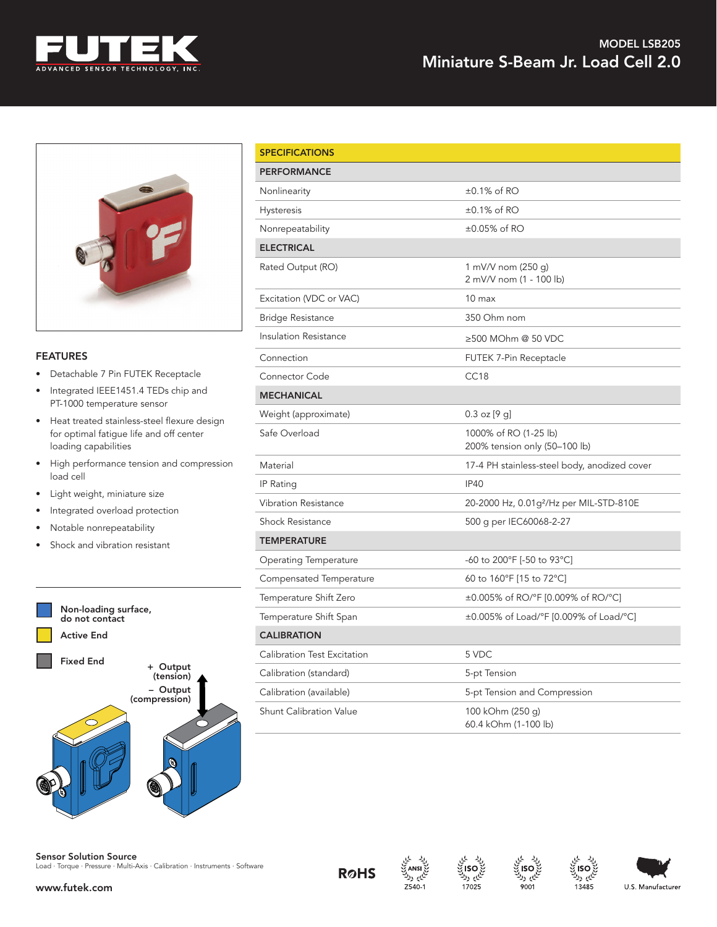



## FEATURES

- Detachable 7 Pin FUTEK Receptacle
- Integrated IEEE1451.4 TEDs chip and PT-1000 temperature sensor
- Heat treated stainless-steel flexure design for optimal fatigue life and off center loading capabilities
- High performance tension and compression load cell
- Light weight, miniature size
- Integrated overload protection
- Notable nonrepeatability
- Shock and vibration resistant



| <b>Sensor Solution Source</b>                                                |  |
|------------------------------------------------------------------------------|--|
| Load · Torque · Pressure · Multi-Axis · Calibration · Instruments · Software |  |

| <b>SPECIFICATIONS</b>          |                                                        |  |
|--------------------------------|--------------------------------------------------------|--|
| <b>PERFORMANCE</b>             |                                                        |  |
| Nonlinearity                   | $\pm 0.1\%$ of RO                                      |  |
| <b>Hysteresis</b>              | $\pm 0.1\%$ of RO                                      |  |
| Nonrepeatability               | $\pm 0.05\%$ of RO                                     |  |
| <b>ELECTRICAL</b>              |                                                        |  |
| Rated Output (RO)              | 1 mV/V nom (250 g)<br>2 mV/V nom (1 - 100 lb)          |  |
| Excitation (VDC or VAC)        | 10 <sub>max</sub>                                      |  |
| <b>Bridge Resistance</b>       | 350 Ohm nom                                            |  |
| <b>Insulation Resistance</b>   | ≥500 MOhm @ 50 VDC                                     |  |
| Connection                     | FUTEK 7-Pin Receptacle                                 |  |
| <b>Connector Code</b>          | CC <sub>18</sub>                                       |  |
| <b>MECHANICAL</b>              |                                                        |  |
| Weight (approximate)           | $0.3$ oz $[9 \text{ g}]$                               |  |
| Safe Overload                  | 1000% of RO (1-25 lb)<br>200% tension only (50–100 lb) |  |
| Material                       | 17-4 PH stainless-steel body, anodized cover           |  |
| IP Rating                      | <b>IP40</b>                                            |  |
| <b>Vibration Resistance</b>    | 20-2000 Hz, 0.01g <sup>2</sup> /Hz per MIL-STD-810E    |  |
| <b>Shock Resistance</b>        | 500 g per IEC60068-2-27                                |  |
| <b>TEMPERATURE</b>             |                                                        |  |
| <b>Operating Temperature</b>   | -60 to 200°F [-50 to 93°C]                             |  |
| Compensated Temperature        | 60 to 160°F [15 to 72°C]                               |  |
| Temperature Shift Zero         | ±0.005% of RO/°F [0.009% of RO/°C]                     |  |
| Temperature Shift Span         | ±0.005% of Load/°F [0.009% of Load/°C]                 |  |
| <b>CALIBRATION</b>             |                                                        |  |
| Calibration Test Excitation    | 5 VDC                                                  |  |
| Calibration (standard)         | 5-pt Tension                                           |  |
| Calibration (available)        | 5-pt Tension and Compression                           |  |
| <b>Shunt Calibration Value</b> | 100 kOhm (250 g)<br>60.4 kOhm (1-100 lb)               |  |









ایم ولا

13485